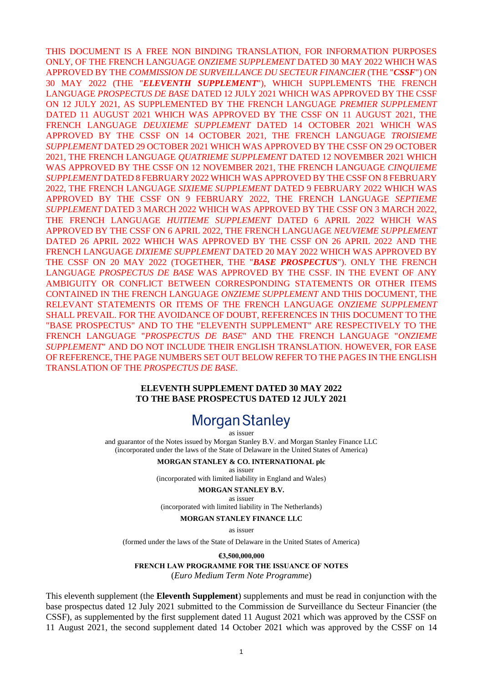THIS DOCUMENT IS A FREE NON BINDING TRANSLATION, FOR INFORMATION PURPOSES ONLY, OF THE FRENCH LANGUAGE *ONZIEME SUPPLEMENT* DATED 30 MAY 2022 WHICH WAS APPROVED BY THE *COMMISSION DE SURVEILLANCE DU SECTEUR FINANCIER* (THE "*CSSF*") ON 30 MAY 2022 (THE "*ELEVENTH SUPPLEMENT*"), WHICH SUPPLEMENTS THE FRENCH LANGUAGE *PROSPECTUS DE BASE* DATED 12 JULY 2021 WHICH WAS APPROVED BY THE CSSF ON 12 JULY 2021, AS SUPPLEMENTED BY THE FRENCH LANGUAGE *PREMIER SUPPLEMENT*  DATED 11 AUGUST 2021 WHICH WAS APPROVED BY THE CSSF ON 11 AUGUST 2021, THE FRENCH LANGUAGE *DEUXIEME SUPPLEMENT* DATED 14 OCTOBER 2021 WHICH WAS APPROVED BY THE CSSF ON 14 OCTOBER 2021, THE FRENCH LANGUAGE *TROISIEME SUPPLEMENT* DATED 29 OCTOBER 2021 WHICH WAS APPROVED BY THE CSSF ON 29 OCTOBER 2021, THE FRENCH LANGUAGE *QUATRIEME SUPPLEMENT* DATED 12 NOVEMBER 2021 WHICH WAS APPROVED BY THE CSSF ON 12 NOVEMBER 2021, THE FRENCH LANGUAGE *CINQUIEME SUPPLEMENT* DATED 8 FEBRUARY 2022 WHICH WAS APPROVED BY THE CSSF ON 8 FEBRUARY 2022, THE FRENCH LANGUAGE *SIXIEME SUPPLEMENT* DATED 9 FEBRUARY 2022 WHICH WAS APPROVED BY THE CSSF ON 9 FEBRUARY 2022, THE FRENCH LANGUAGE *SEPTIEME SUPPLEMENT* DATED 3 MARCH 2022 WHICH WAS APPROVED BY THE CSSF ON 3 MARCH 2022, THE FRENCH LANGUAGE *HUITIEME SUPPLEMENT* DATED 6 APRIL 2022 WHICH WAS APPROVED BY THE CSSF ON 6 APRIL 2022, THE FRENCH LANGUAGE *NEUVIEME SUPPLEMENT*  DATED 26 APRIL 2022 WHICH WAS APPROVED BY THE CSSF ON 26 APRIL 2022 AND THE FRENCH LANGUAGE *DIXIEME SUPPLEMENT* DATED 20 MAY 2022 WHICH WAS APPROVED BY THE CSSF ON 20 MAY 2022 (TOGETHER, THE "*BASE PROSPECTUS*"). ONLY THE FRENCH LANGUAGE *PROSPECTUS DE BASE* WAS APPROVED BY THE CSSF. IN THE EVENT OF ANY AMBIGUITY OR CONFLICT BETWEEN CORRESPONDING STATEMENTS OR OTHER ITEMS CONTAINED IN THE FRENCH LANGUAGE *ONZIEME SUPPLEMENT* AND THIS DOCUMENT, THE RELEVANT STATEMENTS OR ITEMS OF THE FRENCH LANGUAGE *ONZIEME SUPPLEMENT*  SHALL PREVAIL. FOR THE AVOIDANCE OF DOUBT, REFERENCES IN THIS DOCUMENT TO THE "BASE PROSPECTUS" AND TO THE "ELEVENTH SUPPLEMENT" ARE RESPECTIVELY TO THE FRENCH LANGUAGE "*PROSPECTUS DE BASE*" AND THE FRENCH LANGUAGE "*ONZIEME SUPPLEMENT*" AND DO NOT INCLUDE THEIR ENGLISH TRANSLATION. HOWEVER, FOR EASE OF REFERENCE, THE PAGE NUMBERS SET OUT BELOW REFER TO THE PAGES IN THE ENGLISH TRANSLATION OF THE *PROSPECTUS DE BASE*.

#### **ELEVENTH SUPPLEMENT DATED 30 MAY 2022 TO THE BASE PROSPECTUS DATED 12 JULY 2021**

# **Morgan Stanley**

as issuer

and guarantor of the Notes issued by Morgan Stanley B.V. and Morgan Stanley Finance LLC (incorporated under the laws of the State of Delaware in the United States of America)

#### **MORGAN STANLEY & CO. INTERNATIONAL plc**

as issuer

(incorporated with limited liability in England and Wales)

#### **MORGAN STANLEY B.V.**

as issuer (incorporated with limited liability in The Netherlands)

#### **MORGAN STANLEY FINANCE LLC**

as issuer

(formed under the laws of the State of Delaware in the United States of America)

**€3,500,000,000**

#### **FRENCH LAW PROGRAMME FOR THE ISSUANCE OF NOTES** (*Euro Medium Term Note Programme*)

This eleventh supplement (the **Eleventh Supplement**) supplements and must be read in conjunction with the base prospectus dated 12 July 2021 submitted to the Commission de Surveillance du Secteur Financier (the CSSF), as supplemented by the first supplement dated 11 August 2021 which was approved by the CSSF on 11 August 2021, the second supplement dated 14 October 2021 which was approved by the CSSF on 14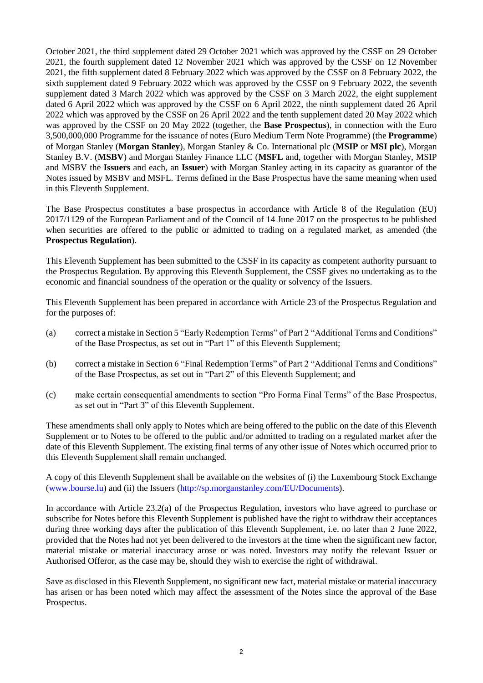October 2021, the third supplement dated 29 October 2021 which was approved by the CSSF on 29 October 2021, the fourth supplement dated 12 November 2021 which was approved by the CSSF on 12 November 2021, the fifth supplement dated 8 February 2022 which was approved by the CSSF on 8 February 2022, the sixth supplement dated 9 February 2022 which was approved by the CSSF on 9 February 2022, the seventh supplement dated 3 March 2022 which was approved by the CSSF on 3 March 2022, the eight supplement dated 6 April 2022 which was approved by the CSSF on 6 April 2022, the ninth supplement dated 26 April 2022 which was approved by the CSSF on 26 April 2022 and the tenth supplement dated 20 May 2022 which was approved by the CSSF on 20 May 2022 (together, the **Base Prospectus**), in connection with the Euro 3,500,000,000 Programme for the issuance of notes (Euro Medium Term Note Programme) (the **Programme**) of Morgan Stanley (**Morgan Stanley**), Morgan Stanley & Co. International plc (**MSIP** or **MSI plc**), Morgan Stanley B.V. (**MSBV**) and Morgan Stanley Finance LLC (**MSFL** and, together with Morgan Stanley, MSIP and MSBV the **Issuers** and each, an **Issuer**) with Morgan Stanley acting in its capacity as guarantor of the Notes issued by MSBV and MSFL. Terms defined in the Base Prospectus have the same meaning when used in this Eleventh Supplement.

The Base Prospectus constitutes a base prospectus in accordance with Article 8 of the Regulation (EU) 2017/1129 of the European Parliament and of the Council of 14 June 2017 on the prospectus to be published when securities are offered to the public or admitted to trading on a regulated market, as amended (the **Prospectus Regulation**).

This Eleventh Supplement has been submitted to the CSSF in its capacity as competent authority pursuant to the Prospectus Regulation. By approving this Eleventh Supplement, the CSSF gives no undertaking as to the economic and financial soundness of the operation or the quality or solvency of the Issuers.

This Eleventh Supplement has been prepared in accordance with Article 23 of the Prospectus Regulation and for the purposes of:

- (a) correct a mistake in Section 5 "Early Redemption Terms" of Part 2 "Additional Terms and Conditions" of the Base Prospectus, as set out in "Part 1" of this Eleventh Supplement;
- (b) correct a mistake in Section 6 "Final Redemption Terms" of Part 2 "Additional Terms and Conditions" of the Base Prospectus, as set out in "Part 2" of this Eleventh Supplement; and
- (c) make certain consequential amendments to section "Pro Forma Final Terms" of the Base Prospectus, as set out in "Part 3" of this Eleventh Supplement.

These amendments shall only apply to Notes which are being offered to the public on the date of this Eleventh Supplement or to Notes to be offered to the public and/or admitted to trading on a regulated market after the date of this Eleventh Supplement. The existing final terms of any other issue of Notes which occurred prior to this Eleventh Supplement shall remain unchanged.

A copy of this Eleventh Supplement shall be available on the websites of (i) the Luxembourg Stock Exchange [\(www.bourse.lu\)](http://www.bourse.lu/) and (ii) the Issuers [\(http://sp.morganstanley.com/EU/Documents\)](http://sp.morganstanley.com/EU/Documents).

In accordance with Article 23.2(a) of the Prospectus Regulation, investors who have agreed to purchase or subscribe for Notes before this Eleventh Supplement is published have the right to withdraw their acceptances during three working days after the publication of this Eleventh Supplement, i.e. no later than 2 June 2022, provided that the Notes had not yet been delivered to the investors at the time when the significant new factor, material mistake or material inaccuracy arose or was noted. Investors may notify the relevant Issuer or Authorised Offeror, as the case may be, should they wish to exercise the right of withdrawal.

Save as disclosed in this Eleventh Supplement, no significant new fact, material mistake or material inaccuracy has arisen or has been noted which may affect the assessment of the Notes since the approval of the Base Prospectus.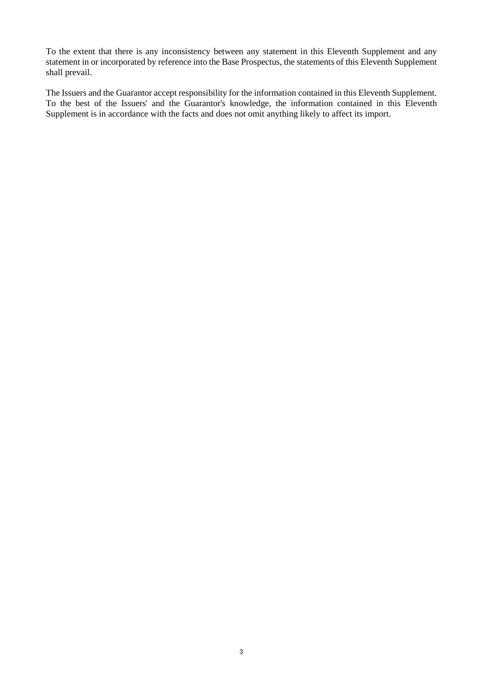To the extent that there is any inconsistency between any statement in this Eleventh Supplement and any statement in or incorporated by reference into the Base Prospectus, the statements of this Eleventh Supplement shall prevail.

The Issuers and the Guarantor accept responsibility for the information contained in this Eleventh Supplement. To the best of the Issuers' and the Guarantor's knowledge, the information contained in this Eleventh Supplement is in accordance with the facts and does not omit anything likely to affect its import.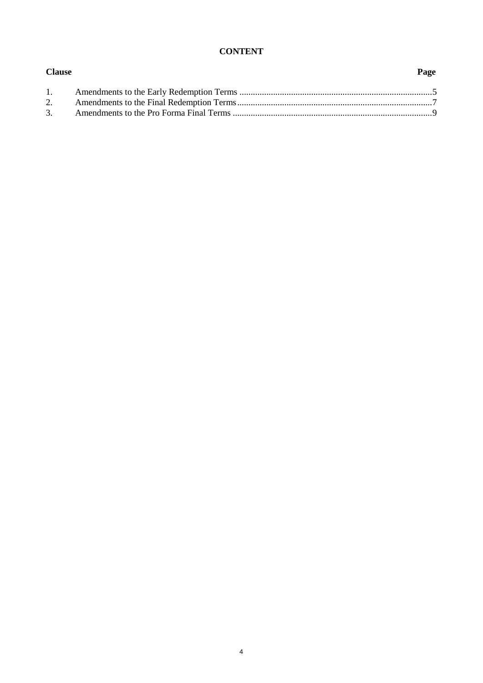### **CONTENT**

**Clause Page**

| 1. |  |
|----|--|
|    |  |
|    |  |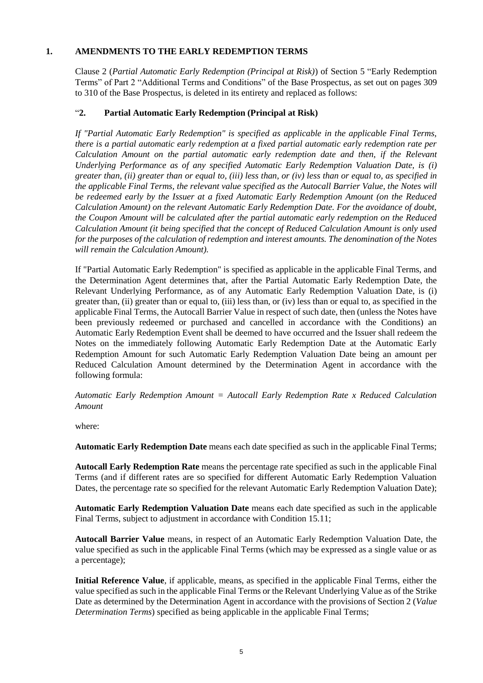#### **1. AMENDMENTS TO THE EARLY REDEMPTION TERMS**

Clause 2 (*Partial Automatic Early Redemption (Principal at Risk)*) of Section 5 "Early Redemption Terms" of Part 2 "Additional Terms and Conditions" of the Base Prospectus, as set out on pages 309 to 310 of the Base Prospectus, is deleted in its entirety and replaced as follows:

# "**2. Partial Automatic Early Redemption (Principal at Risk)**

*If "Partial Automatic Early Redemption" is specified as applicable in the applicable Final Terms, there is a partial automatic early redemption at a fixed partial automatic early redemption rate per Calculation Amount on the partial automatic early redemption date and then, if the Relevant Underlying Performance as of any specified Automatic Early Redemption Valuation Date, is (i) greater than, (ii) greater than or equal to, (iii) less than, or (iv) less than or equal to, as specified in the applicable Final Terms, the relevant value specified as the Autocall Barrier Value, the Notes will be redeemed early by the Issuer at a fixed Automatic Early Redemption Amount (on the Reduced Calculation Amount) on the relevant Automatic Early Redemption Date. For the avoidance of doubt, the Coupon Amount will be calculated after the partial automatic early redemption on the Reduced Calculation Amount (it being specified that the concept of Reduced Calculation Amount is only used for the purposes of the calculation of redemption and interest amounts. The denomination of the Notes will remain the Calculation Amount).* 

If "Partial Automatic Early Redemption" is specified as applicable in the applicable Final Terms, and the Determination Agent determines that, after the Partial Automatic Early Redemption Date, the Relevant Underlying Performance, as of any Automatic Early Redemption Valuation Date, is (i) greater than, (ii) greater than or equal to, (iii) less than, or (iv) less than or equal to, as specified in the applicable Final Terms, the Autocall Barrier Value in respect of such date, then (unless the Notes have been previously redeemed or purchased and cancelled in accordance with the Conditions) an Automatic Early Redemption Event shall be deemed to have occurred and the Issuer shall redeem the Notes on the immediately following Automatic Early Redemption Date at the Automatic Early Redemption Amount for such Automatic Early Redemption Valuation Date being an amount per Reduced Calculation Amount determined by the Determination Agent in accordance with the following formula:

*Automatic Early Redemption Amount = Autocall Early Redemption Rate x Reduced Calculation Amount*

where:

**Automatic Early Redemption Date** means each date specified as such in the applicable Final Terms;

**Autocall Early Redemption Rate** means the percentage rate specified as such in the applicable Final Terms (and if different rates are so specified for different Automatic Early Redemption Valuation Dates, the percentage rate so specified for the relevant Automatic Early Redemption Valuation Date);

**Automatic Early Redemption Valuation Date** means each date specified as such in the applicable Final Terms, subject to adjustment in accordance with Condition 15.11;

**Autocall Barrier Value** means, in respect of an Automatic Early Redemption Valuation Date, the value specified as such in the applicable Final Terms (which may be expressed as a single value or as a percentage);

**Initial Reference Value**, if applicable, means, as specified in the applicable Final Terms, either the value specified as such in the applicable Final Terms or the Relevant Underlying Value as of the Strike Date as determined by the Determination Agent in accordance with the provisions of Section 2 (*Value Determination Terms*) specified as being applicable in the applicable Final Terms;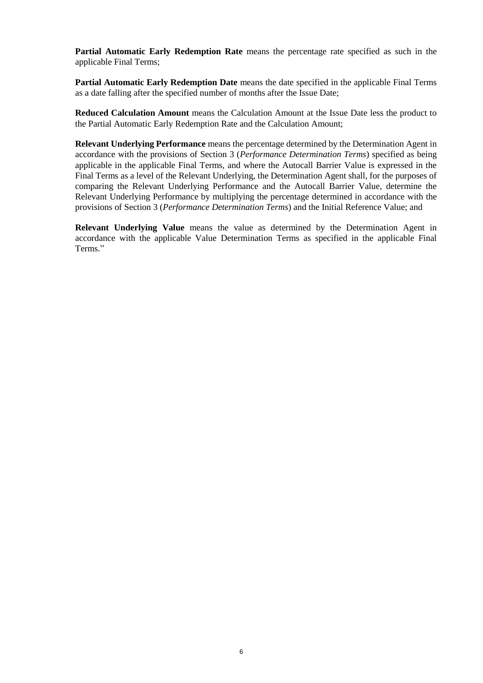**Partial Automatic Early Redemption Rate** means the percentage rate specified as such in the applicable Final Terms;

**Partial Automatic Early Redemption Date** means the date specified in the applicable Final Terms as a date falling after the specified number of months after the Issue Date;

**Reduced Calculation Amount** means the Calculation Amount at the Issue Date less the product to the Partial Automatic Early Redemption Rate and the Calculation Amount;

**Relevant Underlying Performance** means the percentage determined by the Determination Agent in accordance with the provisions of Section 3 (*Performance Determination Terms*) specified as being applicable in the applicable Final Terms, and where the Autocall Barrier Value is expressed in the Final Terms as a level of the Relevant Underlying, the Determination Agent shall, for the purposes of comparing the Relevant Underlying Performance and the Autocall Barrier Value, determine the Relevant Underlying Performance by multiplying the percentage determined in accordance with the provisions of Section 3 (*Performance Determination Terms*) and the Initial Reference Value; and

**Relevant Underlying Value** means the value as determined by the Determination Agent in accordance with the applicable Value Determination Terms as specified in the applicable Final Terms."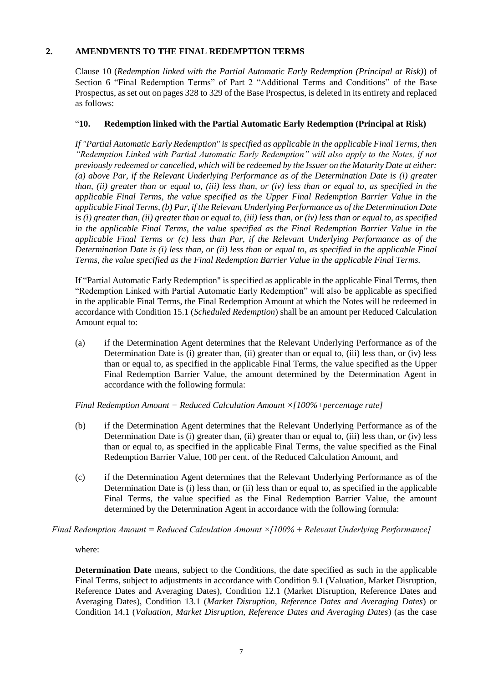### **2. AMENDMENTS TO THE FINAL REDEMPTION TERMS**

Clause 10 (*Redemption linked with the Partial Automatic Early Redemption (Principal at Risk)*) of Section 6 "Final Redemption Terms" of Part 2 "Additional Terms and Conditions" of the Base Prospectus, as set out on pages 328 to 329 of the Base Prospectus, is deleted in its entirety and replaced as follows:

#### "**10. Redemption linked with the Partial Automatic Early Redemption (Principal at Risk)**

*If "Partial Automatic Early Redemption" is specified as applicable in the applicable Final Terms, then "Redemption Linked with Partial Automatic Early Redemption" will also apply to the Notes, if not previously redeemed or cancelled, which will be redeemed by the Issuer on the Maturity Date at either: (a) above Par, if the Relevant Underlying Performance as of the Determination Date is (i) greater than, (ii) greater than or equal to, (iii) less than, or (iv) less than or equal to, as specified in the applicable Final Terms, the value specified as the Upper Final Redemption Barrier Value in the applicable Final Terms, (b) Par, if the Relevant Underlying Performance as of the Determination Date is (i) greater than, (ii) greater than or equal to, (iii) less than, or (iv) less than or equal to, as specified in the applicable Final Terms, the value specified as the Final Redemption Barrier Value in the applicable Final Terms or (c) less than Par, if the Relevant Underlying Performance as of the Determination Date is (i) less than, or (ii) less than or equal to, as specified in the applicable Final Terms, the value specified as the Final Redemption Barrier Value in the applicable Final Terms.* 

If "Partial Automatic Early Redemption" is specified as applicable in the applicable Final Terms, then "Redemption Linked with Partial Automatic Early Redemption" will also be applicable as specified in the applicable Final Terms, the Final Redemption Amount at which the Notes will be redeemed in accordance with Condition 15.1 (*Scheduled Redemption*) shall be an amount per Reduced Calculation Amount equal to:

(a) if the Determination Agent determines that the Relevant Underlying Performance as of the Determination Date is (i) greater than, (ii) greater than or equal to, (iii) less than, or (iv) less than or equal to, as specified in the applicable Final Terms, the value specified as the Upper Final Redemption Barrier Value, the amount determined by the Determination Agent in accordance with the following formula:

*Final Redemption Amount = Reduced Calculation Amount ×[100%+percentage rate]*

- (b) if the Determination Agent determines that the Relevant Underlying Performance as of the Determination Date is (i) greater than, (ii) greater than or equal to, (iii) less than, or (iv) less than or equal to, as specified in the applicable Final Terms, the value specified as the Final Redemption Barrier Value, 100 per cent. of the Reduced Calculation Amount, and
- (c) if the Determination Agent determines that the Relevant Underlying Performance as of the Determination Date is (i) less than, or (ii) less than or equal to, as specified in the applicable Final Terms, the value specified as the Final Redemption Barrier Value, the amount determined by the Determination Agent in accordance with the following formula:

*Final Redemption Amount = Reduced Calculation Amount ×[100% + Relevant Underlying Performance]*

where:

**Determination Date** means, subject to the Conditions, the date specified as such in the applicable Final Terms, subject to adjustments in accordance with Condition 9.1 (Valuation, Market Disruption, Reference Dates and Averaging Dates), Condition 12.1 (Market Disruption, Reference Dates and Averaging Dates), Condition 13.1 (*Market Disruption, Reference Dates and Averaging Dates*) or Condition 14.1 (*Valuation, Market Disruption, Reference Dates and Averaging Dates*) (as the case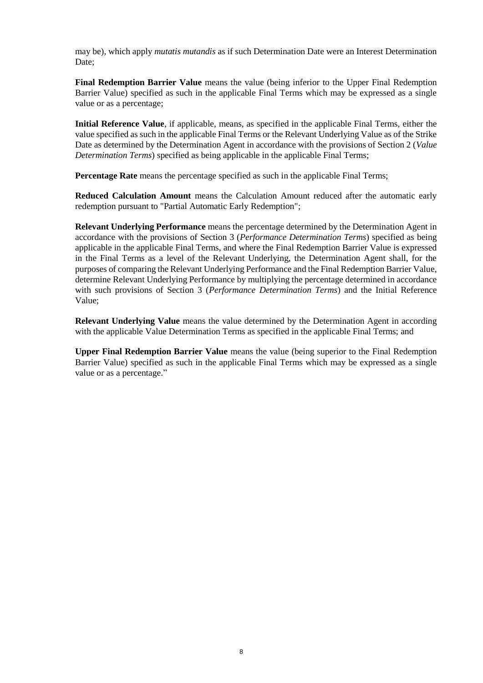may be), which apply *mutatis mutandis* as if such Determination Date were an Interest Determination Date:

**Final Redemption Barrier Value** means the value (being inferior to the Upper Final Redemption Barrier Value) specified as such in the applicable Final Terms which may be expressed as a single value or as a percentage;

**Initial Reference Value**, if applicable, means, as specified in the applicable Final Terms, either the value specified as such in the applicable Final Terms or the Relevant Underlying Value as of the Strike Date as determined by the Determination Agent in accordance with the provisions of Section 2 (*Value Determination Terms*) specified as being applicable in the applicable Final Terms;

**Percentage Rate** means the percentage specified as such in the applicable Final Terms;

**Reduced Calculation Amount** means the Calculation Amount reduced after the automatic early redemption pursuant to "Partial Automatic Early Redemption";

**Relevant Underlying Performance** means the percentage determined by the Determination Agent in accordance with the provisions of Section 3 (*Performance Determination Terms*) specified as being applicable in the applicable Final Terms, and where the Final Redemption Barrier Value is expressed in the Final Terms as a level of the Relevant Underlying, the Determination Agent shall, for the purposes of comparing the Relevant Underlying Performance and the Final Redemption Barrier Value, determine Relevant Underlying Performance by multiplying the percentage determined in accordance with such provisions of Section 3 (*Performance Determination Terms*) and the Initial Reference Value;

**Relevant Underlying Value** means the value determined by the Determination Agent in according with the applicable Value Determination Terms as specified in the applicable Final Terms; and

**Upper Final Redemption Barrier Value** means the value (being superior to the Final Redemption Barrier Value) specified as such in the applicable Final Terms which may be expressed as a single value or as a percentage."